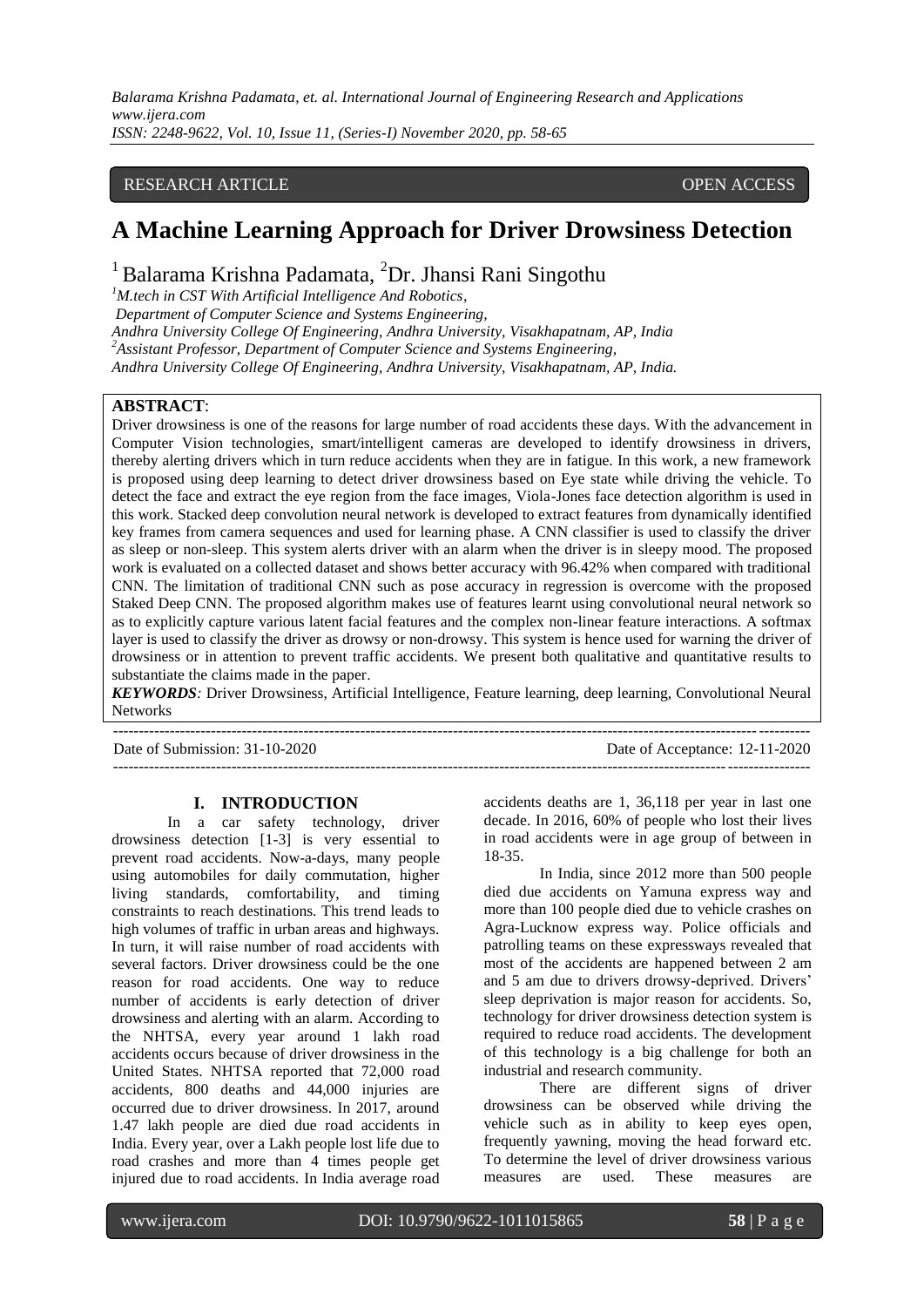*Balarama Krishna Padamata, et. al. International Journal of Engineering Research and Applications www.ijera.com*

*ISSN: 2248-9622, Vol. 10, Issue 11, (Series-I) November 2020, pp. 58-65*

## RESEARCH ARTICLE **CONTRACT ARTICLE** AND CONTRACT OPEN ACCESS

# **A Machine Learning Approach for Driver Drowsiness Detection**

# <sup>1</sup> Balarama Krishna Padamata, <sup>2</sup>Dr. Jhansi Rani Singothu

*<sup>1</sup>M.tech in CST With Artificial Intelligence And Robotics,*

*Department of Computer Science and Systems Engineering,*

*Andhra University College Of Engineering, Andhra University, Visakhapatnam, AP, India*

*<sup>2</sup>Assistant Professor, Department of Computer Science and Systems Engineering,*

*Andhra University College Of Engineering, Andhra University, Visakhapatnam, AP, India.*

# **ABSTRACT**:

Driver drowsiness is one of the reasons for large number of road accidents these days. With the advancement in Computer Vision technologies, smart/intelligent cameras are developed to identify drowsiness in drivers, thereby alerting drivers which in turn reduce accidents when they are in fatigue. In this work, a new framework is proposed using deep learning to detect driver drowsiness based on Eye state while driving the vehicle. To detect the face and extract the eye region from the face images, Viola-Jones face detection algorithm is used in this work. Stacked deep convolution neural network is developed to extract features from dynamically identified key frames from camera sequences and used for learning phase. A CNN classifier is used to classify the driver as sleep or non-sleep. This system alerts driver with an alarm when the driver is in sleepy mood. The proposed work is evaluated on a collected dataset and shows better accuracy with 96.42% when compared with traditional CNN. The limitation of traditional CNN such as pose accuracy in regression is overcome with the proposed Staked Deep CNN. The proposed algorithm makes use of features learnt using convolutional neural network so as to explicitly capture various latent facial features and the complex non-linear feature interactions. A softmax layer is used to classify the driver as drowsy or non-drowsy. This system is hence used for warning the driver of drowsiness or in attention to prevent traffic accidents. We present both qualitative and quantitative results to substantiate the claims made in the paper.

*KEYWORDS:* Driver Drowsiness, Artificial Intelligence, Feature learning, deep learning, Convolutional Neural **Networks** 

| Date of Submission: 31-10-2020 | Date of Acceptance: 12-11-2020 |
|--------------------------------|--------------------------------|
|                                |                                |

#### **I. INTRODUCTION**

In a car safety technology, driver drowsiness detection [1-3] is very essential to prevent road accidents. Now-a-days, many people using automobiles for daily commutation, higher living standards, comfortability, and timing constraints to reach destinations. This trend leads to high volumes of traffic in urban areas and highways. In turn, it will raise number of road accidents with several factors. Driver drowsiness could be the one reason for road accidents. One way to reduce number of accidents is early detection of driver drowsiness and alerting with an alarm. According to the NHTSA, every year around 1 lakh road accidents occurs because of driver drowsiness in the United States. NHTSA reported that 72,000 road accidents, 800 deaths and 44,000 injuries are occurred due to driver drowsiness. In 2017, around 1.47 lakh people are died due road accidents in India. Every year, over a Lakh people lost life due to road crashes and more than 4 times people get injured due to road accidents. In India average road accidents deaths are 1, 36,118 per year in last one decade. In 2016, 60% of people who lost their lives in road accidents were in age group of between in 18-35.

In India, since 2012 more than 500 people died due accidents on Yamuna express way and more than 100 people died due to vehicle crashes on Agra-Lucknow express way. Police officials and patrolling teams on these expressways revealed that most of the accidents are happened between 2 am and 5 am due to drivers drowsy-deprived. Drivers' sleep deprivation is major reason for accidents. So, technology for driver drowsiness detection system is required to reduce road accidents. The development of this technology is a big challenge for both an industrial and research community.

There are different signs of driver drowsiness can be observed while driving the vehicle such as in ability to keep eyes open, frequently yawning, moving the head forward etc. To determine the level of driver drowsiness various measures are used. These measures are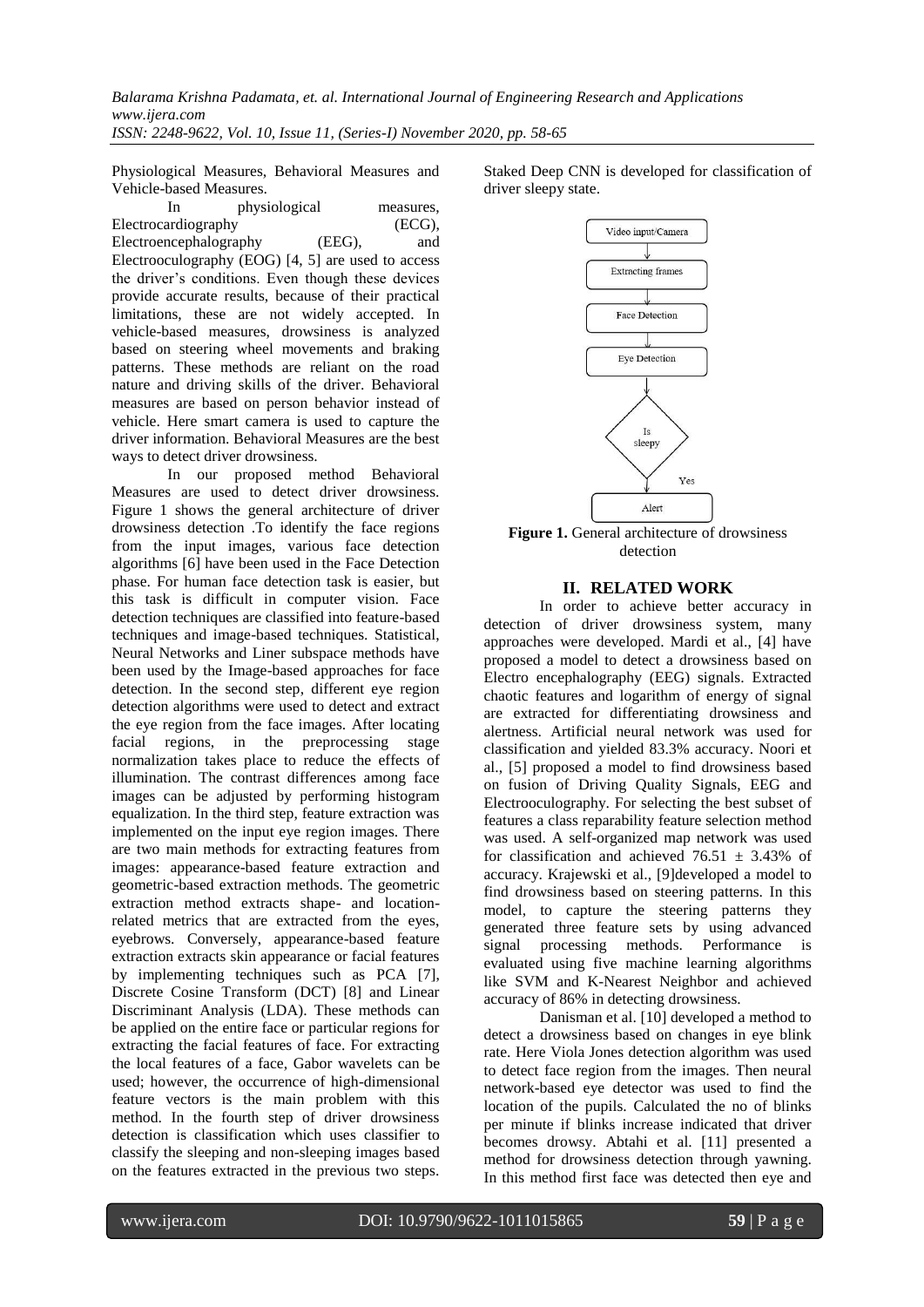*Balarama Krishna Padamata, et. al. International Journal of Engineering Research and Applications www.ijera.com ISSN: 2248-9622, Vol. 10, Issue 11, (Series-I) November 2020, pp. 58-65*

Physiological Measures, Behavioral Measures and

Vehicle-based Measures. In physiological measures, Electrocardiography (ECG), Electroencephalography (EEG), and Electrooculography (EOG) [4, 5] are used to access the driver's conditions. Even though these devices provide accurate results, because of their practical limitations, these are not widely accepted. In vehicle-based measures, drowsiness is analyzed based on steering wheel movements and braking patterns. These methods are reliant on the road nature and driving skills of the driver. Behavioral measures are based on person behavior instead of vehicle. Here smart camera is used to capture the driver information. Behavioral Measures are the best ways to detect driver drowsiness.

In our proposed method Behavioral Measures are used to detect driver drowsiness. Figure 1 shows the general architecture of driver drowsiness detection .To identify the face regions from the input images, various face detection algorithms [6] have been used in the Face Detection phase. For human face detection task is easier, but this task is difficult in computer vision. Face detection techniques are classified into feature-based techniques and image-based techniques. Statistical, Neural Networks and Liner subspace methods have been used by the Image-based approaches for face detection. In the second step, different eye region detection algorithms were used to detect and extract the eye region from the face images. After locating facial regions, in the preprocessing stage normalization takes place to reduce the effects of illumination. The contrast differences among face images can be adjusted by performing histogram equalization. In the third step, feature extraction was implemented on the input eye region images. There are two main methods for extracting features from images: appearance-based feature extraction and geometric-based extraction methods. The geometric extraction method extracts shape- and locationrelated metrics that are extracted from the eyes, eyebrows. Conversely, appearance-based feature extraction extracts skin appearance or facial features by implementing techniques such as PCA [7], Discrete Cosine Transform (DCT) [8] and Linear Discriminant Analysis (LDA). These methods can be applied on the entire face or particular regions for extracting the facial features of face. For extracting the local features of a face, Gabor wavelets can be used; however, the occurrence of high-dimensional feature vectors is the main problem with this method. In the fourth step of driver drowsiness detection is classification which uses classifier to classify the sleeping and non-sleeping images based on the features extracted in the previous two steps. Staked Deep CNN is developed for classification of driver sleepy state.



**Figure 1.** General architecture of drowsiness detection

## **II. RELATED WORK**

In order to achieve better accuracy in detection of driver drowsiness system, many approaches were developed. Mardi et al., [4] have proposed a model to detect a drowsiness based on Electro encephalography (EEG) signals. Extracted chaotic features and logarithm of energy of signal are extracted for differentiating drowsiness and alertness. Artificial neural network was used for classification and yielded 83.3% accuracy. Noori et al., [5] proposed a model to find drowsiness based on fusion of Driving Quality Signals, EEG and Electrooculography. For selecting the best subset of features a class reparability feature selection method was used. A self-organized map network was used for classification and achieved  $76.51 \pm 3.43\%$  of accuracy. Krajewski et al., [9]developed a model to find drowsiness based on steering patterns. In this model, to capture the steering patterns they generated three feature sets by using advanced signal processing methods. Performance is evaluated using five machine learning algorithms like SVM and K-Nearest Neighbor and achieved accuracy of 86% in detecting drowsiness.

Danisman et al. [10] developed a method to detect a drowsiness based on changes in eye blink rate. Here Viola Jones detection algorithm was used to detect face region from the images. Then neural network-based eye detector was used to find the location of the pupils. Calculated the no of blinks per minute if blinks increase indicated that driver becomes drowsy. Abtahi et al. [11] presented a method for drowsiness detection through yawning. In this method first face was detected then eye and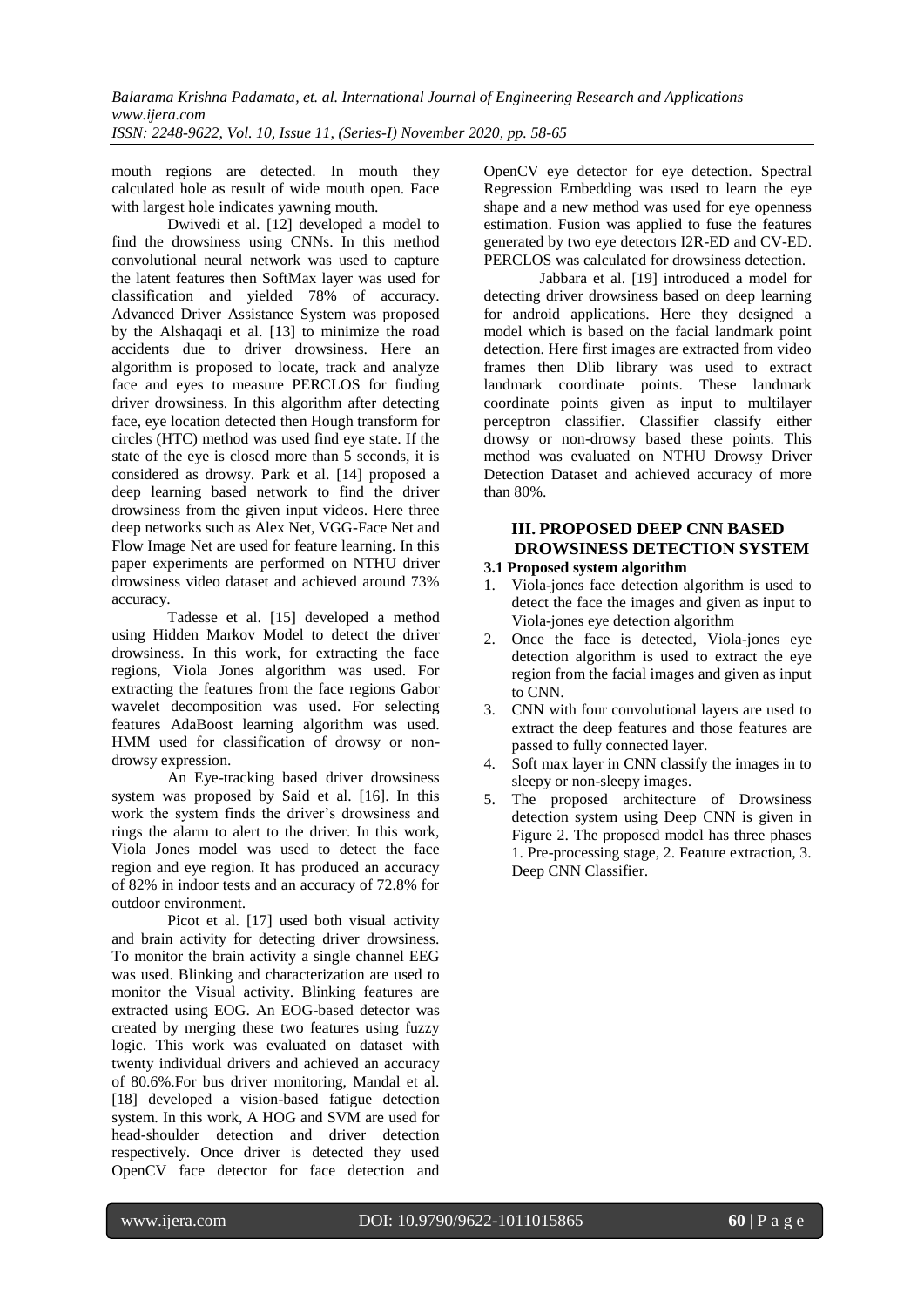*ISSN: 2248-9622, Vol. 10, Issue 11, (Series-I) November 2020, pp. 58-65*

mouth regions are detected. In mouth they calculated hole as result of wide mouth open. Face with largest hole indicates yawning mouth.

Dwivedi et al. [12] developed a model to find the drowsiness using CNNs. In this method convolutional neural network was used to capture the latent features then SoftMax layer was used for classification and yielded 78% of accuracy. Advanced Driver Assistance System was proposed by the Alshaqaqi et al. [13] to minimize the road accidents due to driver drowsiness. Here an algorithm is proposed to locate, track and analyze face and eyes to measure PERCLOS for finding driver drowsiness. In this algorithm after detecting face, eye location detected then Hough transform for circles (HTC) method was used find eye state. If the state of the eye is closed more than 5 seconds, it is considered as drowsy. Park et al. [14] proposed a deep learning based network to find the driver drowsiness from the given input videos. Here three deep networks such as Alex Net, VGG-Face Net and Flow Image Net are used for feature learning. In this paper experiments are performed on NTHU driver drowsiness video dataset and achieved around 73% accuracy.

Tadesse et al. [15] developed a method using Hidden Markov Model to detect the driver drowsiness. In this work, for extracting the face regions, Viola Jones algorithm was used. For extracting the features from the face regions Gabor wavelet decomposition was used. For selecting features AdaBoost learning algorithm was used. HMM used for classification of drowsy or nondrowsy expression.

An Eye-tracking based driver drowsiness system was proposed by Said et al. [16]. In this work the system finds the driver's drowsiness and rings the alarm to alert to the driver. In this work, Viola Jones model was used to detect the face region and eye region. It has produced an accuracy of 82% in indoor tests and an accuracy of 72.8% for outdoor environment.

Picot et al. [17] used both visual activity and brain activity for detecting driver drowsiness. To monitor the brain activity a single channel EEG was used. Blinking and characterization are used to monitor the Visual activity. Blinking features are extracted using EOG. An EOG-based detector was created by merging these two features using fuzzy logic. This work was evaluated on dataset with twenty individual drivers and achieved an accuracy of 80.6%.For bus driver monitoring, Mandal et al. [18] developed a vision-based fatigue detection system. In this work, A HOG and SVM are used for head-shoulder detection and driver detection respectively. Once driver is detected they used OpenCV face detector for face detection and OpenCV eye detector for eye detection. Spectral Regression Embedding was used to learn the eye shape and a new method was used for eye openness estimation. Fusion was applied to fuse the features generated by two eye detectors I2R-ED and CV-ED. PERCLOS was calculated for drowsiness detection.

Jabbara et al. [19] introduced a model for detecting driver drowsiness based on deep learning for android applications. Here they designed a model which is based on the facial landmark point detection. Here first images are extracted from video frames then Dlib library was used to extract landmark coordinate points. These landmark coordinate points given as input to multilayer perceptron classifier. Classifier classify either drowsy or non-drowsy based these points. This method was evaluated on NTHU Drowsy Driver Detection Dataset and achieved accuracy of more than 80%.

# **III. PROPOSED DEEP CNN BASED DROWSINESS DETECTION SYSTEM**

# **3.1 Proposed system algorithm**

- 1. Viola-jones face detection algorithm is used to detect the face the images and given as input to Viola-jones eye detection algorithm
- 2. Once the face is detected, Viola-jones eye detection algorithm is used to extract the eye region from the facial images and given as input to CNN.
- 3. CNN with four convolutional layers are used to extract the deep features and those features are passed to fully connected layer.
- 4. Soft max layer in CNN classify the images in to sleepy or non-sleepy images.
- 5. The proposed architecture of Drowsiness detection system using Deep CNN is given in Figure 2. The proposed model has three phases 1. Pre-processing stage, 2. Feature extraction, 3. Deep CNN Classifier.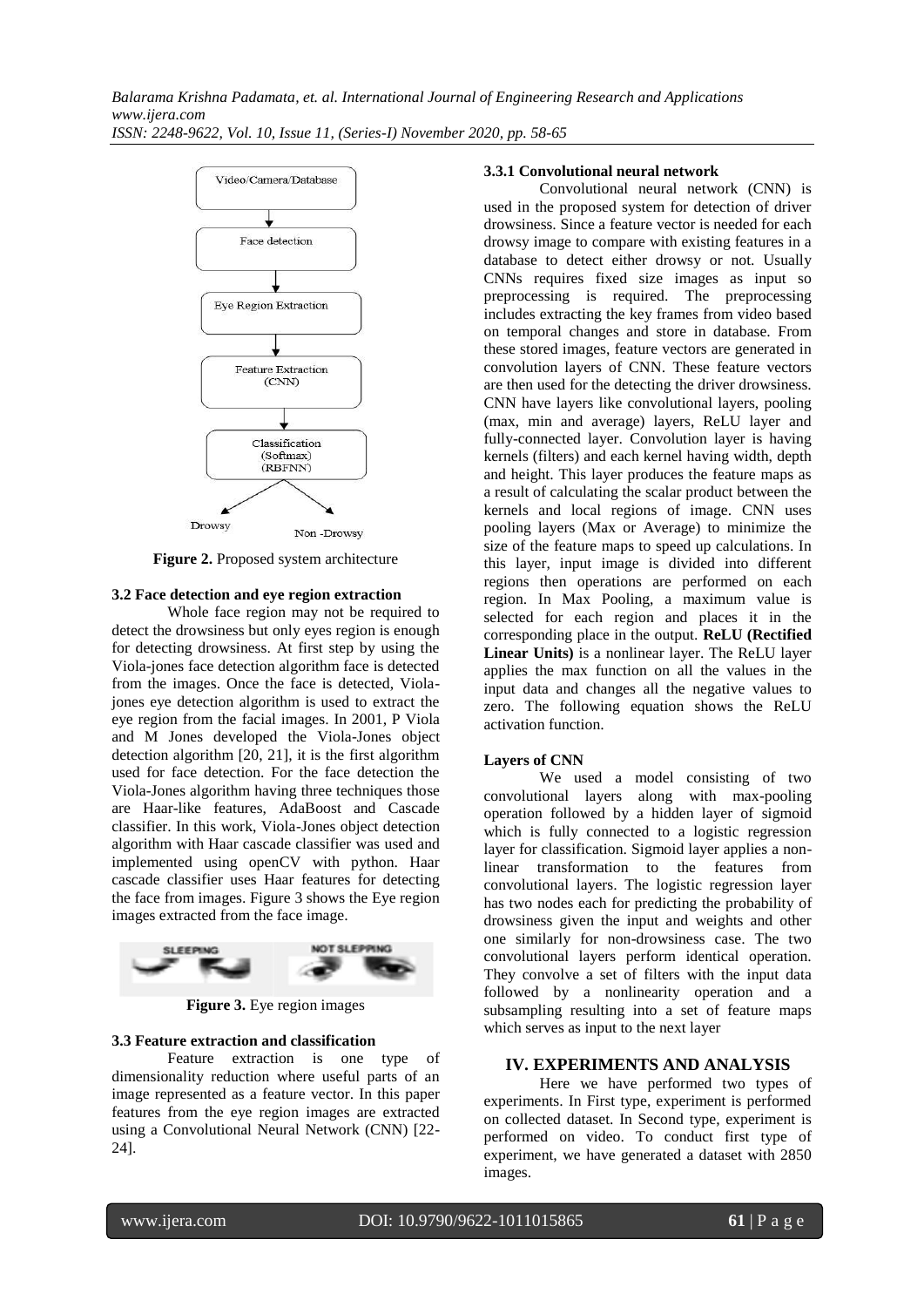

**Figure 2.** Proposed system architecture

## **3.2 Face detection and eye region extraction**

Whole face region may not be required to detect the drowsiness but only eyes region is enough for detecting drowsiness. At first step by using the Viola-jones face detection algorithm face is detected from the images. Once the face is detected, Violajones eye detection algorithm is used to extract the eye region from the facial images. In 2001, P Viola and M Jones developed the Viola-Jones object detection algorithm  $[20, 21]$ , it is the first algorithm used for face detection. For the face detection the Viola-Jones algorithm having three techniques those are Haar-like features, AdaBoost and Cascade classifier. In this work, Viola-Jones object detection algorithm with Haar cascade classifier was used and implemented using openCV with python. Haar cascade classifier uses Haar features for detecting the face from images. Figure 3 shows the Eye region images extracted from the face image.



**Figure 3.** Eye region images

#### **3.3 Feature extraction and classification**

Feature extraction is one type of dimensionality reduction where useful parts of an image represented as a feature vector. In this paper features from the eye region images are extracted using a Convolutional Neural Network (CNN) [22- 24].

#### **3.3.1 Convolutional neural network**

Convolutional neural network (CNN) is used in the proposed system for detection of driver drowsiness. Since a feature vector is needed for each drowsy image to compare with existing features in a database to detect either drowsy or not. Usually CNNs requires fixed size images as input so preprocessing is required. The preprocessing includes extracting the key frames from video based on temporal changes and store in database. From these stored images, feature vectors are generated in convolution layers of CNN. These feature vectors are then used for the detecting the driver drowsiness. CNN have layers like convolutional layers, pooling (max, min and average) layers, ReLU layer and fully-connected layer. Convolution layer is having kernels (filters) and each kernel having width, depth and height. This layer produces the feature maps as a result of calculating the scalar product between the kernels and local regions of image. CNN uses pooling layers (Max or Average) to minimize the size of the feature maps to speed up calculations. In this layer, input image is divided into different regions then operations are performed on each region. In Max Pooling, a maximum value is selected for each region and places it in the corresponding place in the output. **ReLU (Rectified Linear Units)** is a nonlinear layer. The ReLU layer applies the max function on all the values in the input data and changes all the negative values to zero. The following equation shows the ReLU activation function.

#### **Layers of CNN**

We used a model consisting of two convolutional layers along with max-pooling operation followed by a hidden layer of sigmoid which is fully connected to a logistic regression layer for classification. Sigmoid layer applies a nonlinear transformation to the features from convolutional layers. The logistic regression layer has two nodes each for predicting the probability of drowsiness given the input and weights and other one similarly for non-drowsiness case. The two convolutional layers perform identical operation. They convolve a set of filters with the input data followed by a nonlinearity operation and a subsampling resulting into a set of feature maps which serves as input to the next layer

#### **IV. EXPERIMENTS AND ANALYSIS**

Here we have performed two types of experiments. In First type, experiment is performed on collected dataset. In Second type, experiment is performed on video. To conduct first type of experiment, we have generated a dataset with 2850 images.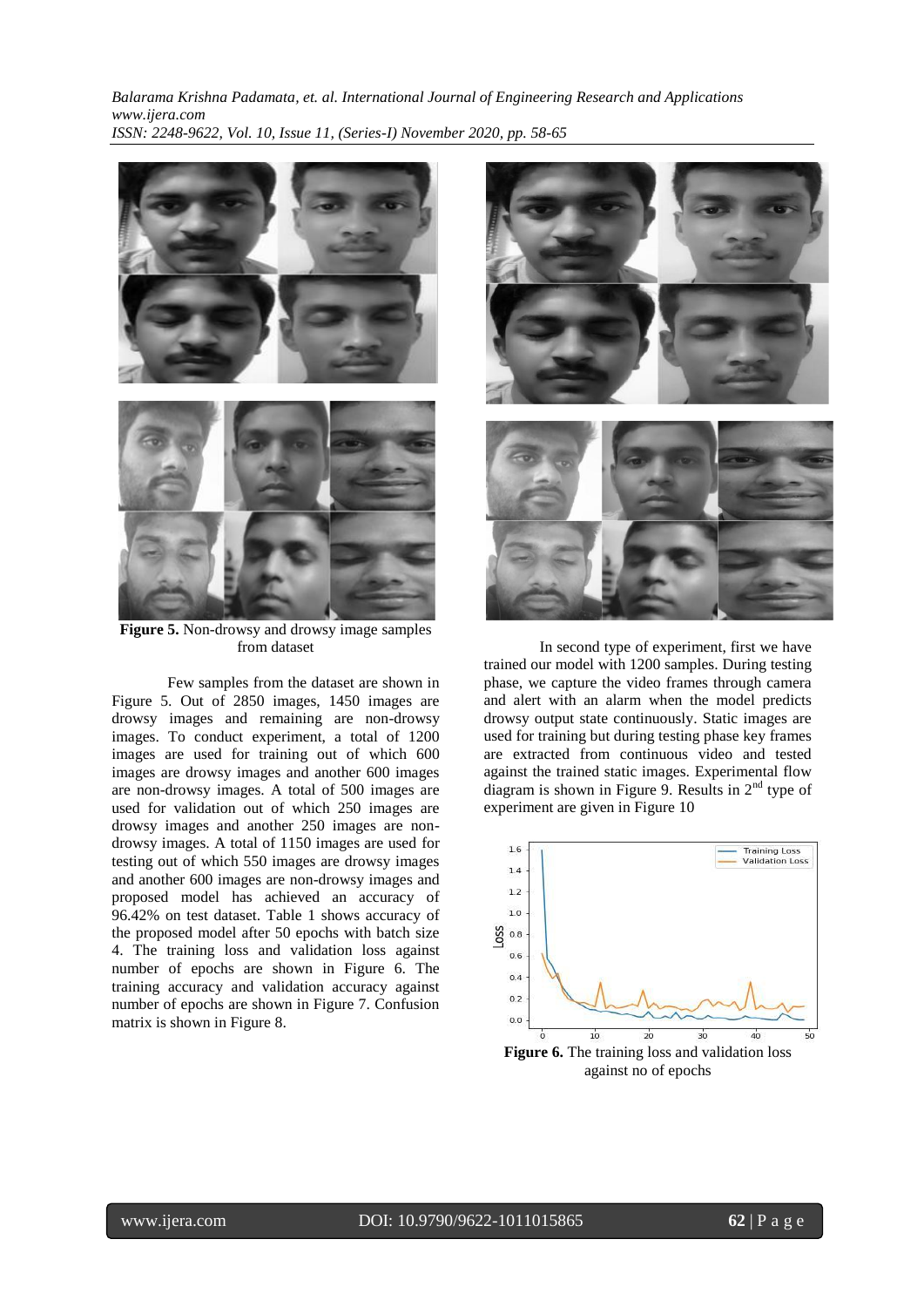*Balarama Krishna Padamata, et. al. International Journal of Engineering Research and Applications www.ijera.com ISSN: 2248-9622, Vol. 10, Issue 11, (Series-I) November 2020, pp. 58-65*



**Figure 5.** Non-drowsy and drowsy image samples from dataset

Few samples from the dataset are shown in Figure 5. Out of 2850 images, 1450 images are drowsy images and remaining are non-drowsy images. To conduct experiment, a total of 1200 images are used for training out of which 600 images are drowsy images and another 600 images are non-drowsy images. A total of 500 images are used for validation out of which 250 images are drowsy images and another 250 images are nondrowsy images. A total of 1150 images are used for testing out of which 550 images are drowsy images and another 600 images are non-drowsy images and proposed model has achieved an accuracy of 96.42% on test dataset. Table 1 shows accuracy of the proposed model after 50 epochs with batch size 4. The training loss and validation loss against number of epochs are shown in Figure 6. The training accuracy and validation accuracy against number of epochs are shown in Figure 7. Confusion matrix is shown in Figure 8.



In second type of experiment, first we have trained our model with 1200 samples. During testing phase, we capture the video frames through camera and alert with an alarm when the model predicts drowsy output state continuously. Static images are used for training but during testing phase key frames are extracted from continuous video and tested against the trained static images. Experimental flow diagram is shown in Figure 9. Results in  $2<sup>nd</sup>$  type of experiment are given in Figure 10

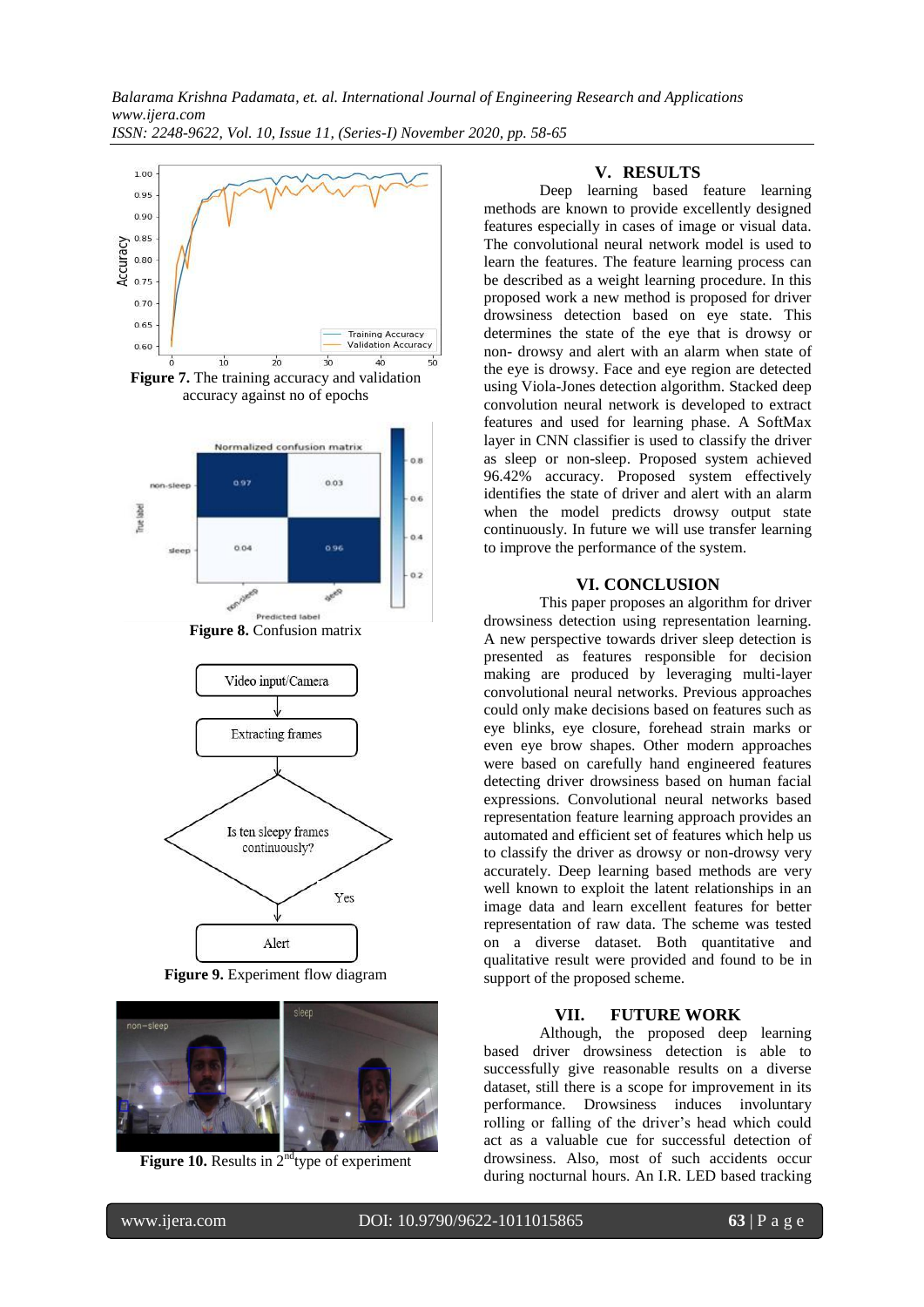

**Figure 9.** Experiment flow diagram



**Figure 10.** Results in 2<sup>nd</sup>type of experiment

#### **V. RESULTS**

Deep learning based feature learning methods are known to provide excellently designed features especially in cases of image or visual data. The convolutional neural network model is used to learn the features. The feature learning process can be described as a weight learning procedure. In this proposed work a new method is proposed for driver drowsiness detection based on eye state. This determines the state of the eye that is drowsy or non- drowsy and alert with an alarm when state of the eye is drowsy. Face and eye region are detected using Viola-Jones detection algorithm. Stacked deep convolution neural network is developed to extract features and used for learning phase. A SoftMax layer in CNN classifier is used to classify the driver as sleep or non-sleep. Proposed system achieved 96.42% accuracy. Proposed system effectively identifies the state of driver and alert with an alarm when the model predicts drowsy output state continuously. In future we will use transfer learning to improve the performance of the system.

#### **VI. CONCLUSION**

This paper proposes an algorithm for driver drowsiness detection using representation learning. A new perspective towards driver sleep detection is presented as features responsible for decision making are produced by leveraging multi-layer convolutional neural networks. Previous approaches could only make decisions based on features such as eye blinks, eye closure, forehead strain marks or even eye brow shapes. Other modern approaches were based on carefully hand engineered features detecting driver drowsiness based on human facial expressions. Convolutional neural networks based representation feature learning approach provides an automated and efficient set of features which help us to classify the driver as drowsy or non-drowsy very accurately. Deep learning based methods are very well known to exploit the latent relationships in an image data and learn excellent features for better representation of raw data. The scheme was tested on a diverse dataset. Both quantitative and qualitative result were provided and found to be in support of the proposed scheme.

#### **VII. FUTURE WORK**

Although, the proposed deep learning based driver drowsiness detection is able to successfully give reasonable results on a diverse dataset, still there is a scope for improvement in its performance. Drowsiness induces involuntary rolling or falling of the driver's head which could act as a valuable cue for successful detection of drowsiness. Also, most of such accidents occur during nocturnal hours. An I.R. LED based tracking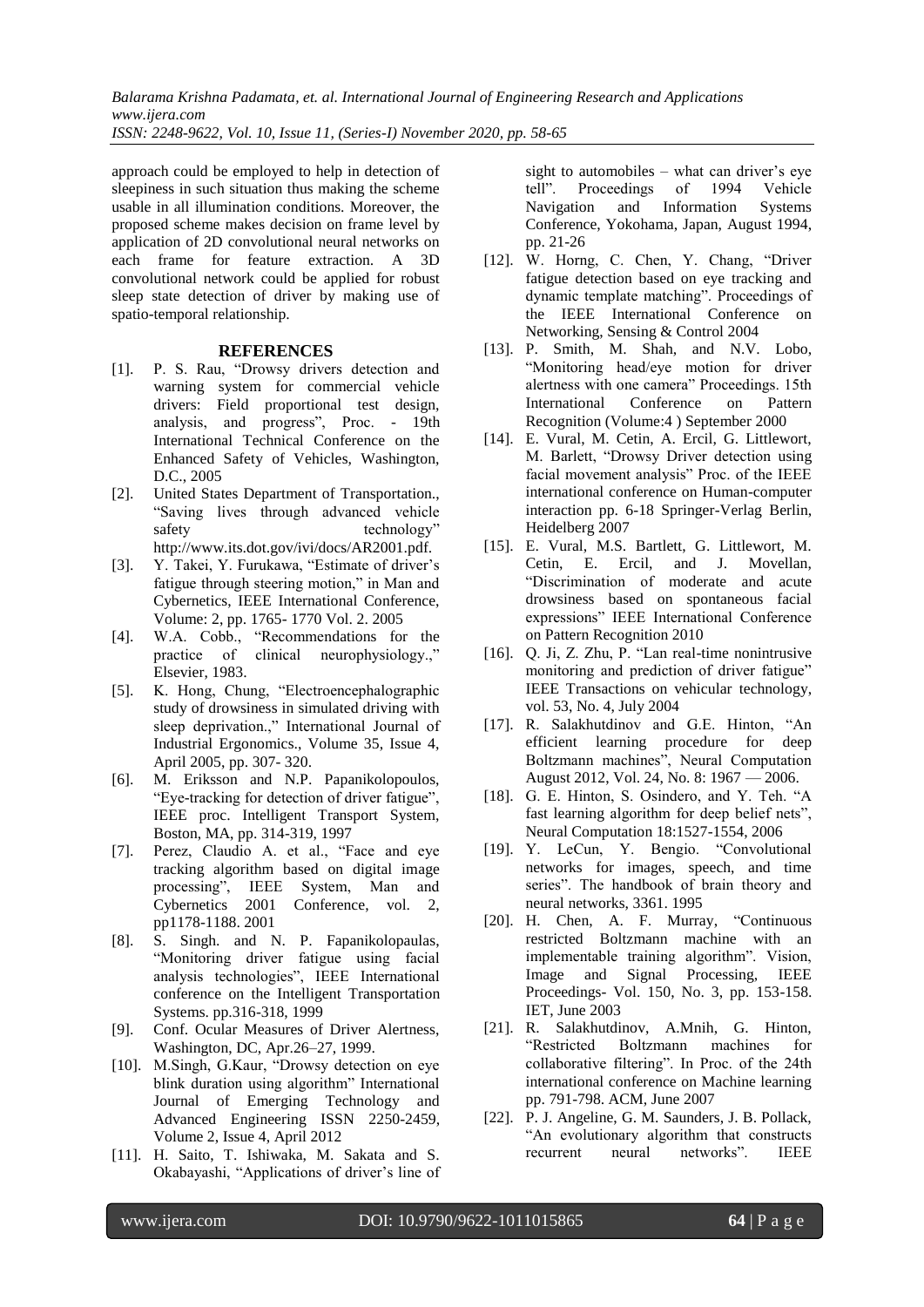*Balarama Krishna Padamata, et. al. International Journal of Engineering Research and Applications www.ijera.com*

*ISSN: 2248-9622, Vol. 10, Issue 11, (Series-I) November 2020, pp. 58-65*

approach could be employed to help in detection of sleepiness in such situation thus making the scheme usable in all illumination conditions. Moreover, the proposed scheme makes decision on frame level by application of 2D convolutional neural networks on each frame for feature extraction. A 3D convolutional network could be applied for robust sleep state detection of driver by making use of spatio-temporal relationship.

#### **REFERENCES**

- [1]. P. S. Rau, "Drowsy drivers detection and warning system for commercial vehicle drivers: Field proportional test design, analysis, and progress", Proc. - 19th International Technical Conference on the Enhanced Safety of Vehicles, Washington, D.C., 2005
- [2]. United States Department of Transportation., ―Saving lives through advanced vehicle safety technology" http://www.its.dot.gov/ivi/docs/AR2001.pdf.
- [3]. Y. Takei, Y. Furukawa, "Estimate of driver's fatigue through steering motion," in Man and Cybernetics, IEEE International Conference, Volume: 2, pp. 1765- 1770 Vol. 2. 2005
- [4]. W.A. Cobb., "Recommendations for the practice of clinical neurophysiology.," Elsevier, 1983.
- [5]. K. Hong, Chung, "Electroencephalographic study of drowsiness in simulated driving with sleep deprivation.," International Journal of Industrial Ergonomics., Volume 35, Issue 4, April 2005, pp. 307- 320.
- [6]. M. Eriksson and N.P. Papanikolopoulos, "Eye-tracking for detection of driver fatigue", IEEE proc. Intelligent Transport System, Boston, MA, pp. 314-319, 1997
- [7]. Perez, Claudio A. et al., "Face and eye tracking algorithm based on digital image processing", IEEE System, Man and Cybernetics 2001 Conference, vol. 2, pp1178-1188. 2001
- [8]. S. Singh. and N. P. Fapanikolopaulas, ―Monitoring driver fatigue using facial analysis technologies", IEEE International conference on the Intelligent Transportation Systems. pp.316-318, 1999
- [9]. Conf. Ocular Measures of Driver Alertness, Washington, DC, Apr.26–27, 1999.
- [10]. M.Singh, G.Kaur, "Drowsy detection on eye blink duration using algorithm" International Journal of Emerging Technology and Advanced Engineering ISSN 2250-2459, Volume 2, Issue 4, April 2012
- [11]. H. Saito, T. Ishiwaka, M. Sakata and S. Okabayashi, "Applications of driver's line of

sight to automobiles – what can driver's eye tell". Proceedings of 1994 Vehicle Navigation and Information Systems Conference, Yokohama, Japan, August 1994, pp. 21-26

- [12]. W. Horng, C. Chen, Y. Chang, "Driver fatigue detection based on eye tracking and dynamic template matching". Proceedings of the IEEE International Conference on Networking, Sensing & Control 2004
- [13]. P. Smith, M. Shah, and N.V. Lobo, ―Monitoring head/eye motion for driver alertness with one camera" Proceedings. 15th International Conference on Pattern Recognition (Volume:4 ) September 2000
- [14]. E. Vural, M. Cetin, A. Ercil, G. Littlewort, M. Barlett, "Drowsy Driver detection using facial movement analysis" Proc. of the IEEE international conference on Human-computer interaction pp. 6-18 Springer-Verlag Berlin, Heidelberg 2007
- [15]. E. Vural, M.S. Bartlett, G. Littlewort, M. Cetin, E. Ercil, and J. Movellan, ―Discrimination of moderate and acute drowsiness based on spontaneous facial expressions" IEEE International Conference on Pattern Recognition 2010
- [16]. Q. Ji, Z. Zhu, P. "Lan real-time nonintrusive monitoring and prediction of driver fatigue" IEEE Transactions on vehicular technology, vol. 53, No. 4, July 2004
- [17]. R. Salakhutdinov and G.E. Hinton, "An efficient learning procedure for deep Boltzmann machines", Neural Computation August 2012, Vol. 24, No. 8: 1967 — 2006.
- [18]. G. E. Hinton, S. Osindero, and Y. Teh. "A fast learning algorithm for deep belief nets", Neural Computation 18:1527-1554, 2006
- [19]. Y. LeCun, Y. Bengio. "Convolutional networks for images, speech, and time series". The handbook of brain theory and neural networks, 3361. 1995
- [20]. H. Chen, A. F. Murray, "Continuous restricted Boltzmann machine with an implementable training algorithm". Vision, Image and Signal Processing, IEEE Proceedings- Vol. 150, No. 3, pp. 153-158. IET, June 2003
- [21]. R. Salakhutdinov, A.Mnih, G. Hinton, ―Restricted Boltzmann machines for collaborative filtering". In Proc. of the 24th international conference on Machine learning pp. 791-798. ACM, June 2007
- [22]. P. J. Angeline, G. M. Saunders, J. B. Pollack, "An evolutionary algorithm that constructs recurrent neural networks". IEEE